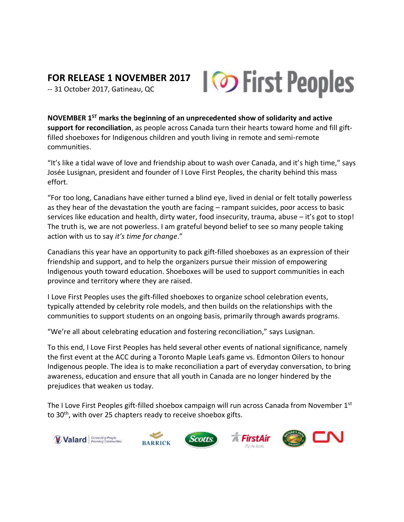## **FOR RELEASE 1 NOVEMBER 2017**

-- 31 October 2017, Gatineau, QC

**NOVEMBER 1ST marks the beginning of an unprecedented show of solidarity and active support for reconciliation**, as people across Canada turn their hearts toward home and fill giftfilled shoeboxes for Indigenous children and youth living in remote and semi-remote communities.

"It's like a tidal wave of love and friendship about to wash over Canada, and it's high time," says Josée Lusignan, president and founder of I Love First Peoples, the charity behind this mass effort.

"For too long, Canadians have either turned a blind eye, lived in denial or felt totally powerless as they hear of the devastation the youth are facing – rampant suicides, poor access to basic services like education and health, dirty water, food insecurity, trauma, abuse – it's got to stop! The truth is, we are not powerless. I am grateful beyond belief to see so many people taking action with us to say *it's time for change*."

Canadians this year have an opportunity to pack gift-filled shoeboxes as an expression of their friendship and support, and to help the organizers pursue their mission of empowering Indigenous youth toward education. Shoeboxes will be used to support communities in each province and territory where they are raised.

I Love First Peoples uses the gift-filled shoeboxes to organize school celebration events, typically attended by celebrity role models, and then builds on the relationships with the communities to support students on an ongoing basis, primarily through awards programs.

"We're all about celebrating education and fostering reconciliation," says Lusignan.

To this end, I Love First Peoples has held several other events of national significance, namely the first event at the ACC during a Toronto Maple Leafs game vs. Edmonton Oilers to honour Indigenous people. The idea is to make reconciliation a part of everyday conversation, to bring awareness, education and ensure that all youth in Canada are no longer hindered by the prejudices that weaken us today.

The I Love First Peoples gift-filled shoebox campaign will run across Canada from November  $1<sup>st</sup>$ to 30<sup>th</sup>, with over 25 chapters ready to receive shoebox gifts.



**BARRICK** 







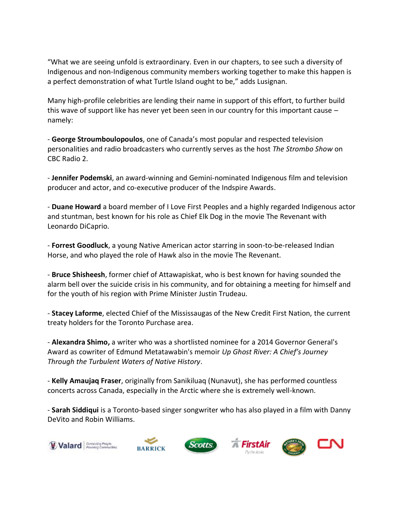"What we are seeing unfold is extraordinary. Even in our chapters, to see such a diversity of Indigenous and non-Indigenous community members working together to make this happen is a perfect demonstration of what Turtle Island ought to be," adds Lusignan.

Many high-profile celebrities are lending their name in support of this effort, to further build this wave of support like has never yet been seen in our country for this important cause – namely:

- **George Stroumboulopoulos**, one of Canada's most popular and respected television personalities and radio broadcasters who currently serves as the host *The Strombo Show* on CBC Radio 2.

- **Jennifer Podemski**, an award-winning and Gemini-nominated Indigenous film and television producer and actor, and co-executive producer of the Indspire Awards.

- **Duane Howard** a board member of I Love First Peoples and a highly regarded Indigenous actor and stuntman, best known for his role as Chief Elk Dog in the movie The Revenant with Leonardo DiCaprio.

- **Forrest Goodluck**, a young Native American actor starring in soon-to-be-released Indian Horse, and who played the role of Hawk also in the movie The Revenant.

- **Bruce Shisheesh**, former chief of Attawapiskat, who is best known for having sounded the alarm bell over the suicide crisis in his community, and for obtaining a meeting for himself and for the youth of his region with Prime Minister Justin Trudeau.

- **Stacey Laforme**, elected Chief of the Mississaugas of the New Credit First Nation, the current treaty holders for the Toronto Purchase area.

- **Alexandra Shimo,** a writer who was a shortlisted nominee for a 2014 Governor General's Award as cowriter of Edmund Metatawabin's memoir *Up Ghost River: A Chief's Journey Through the Turbulent Waters of Native History*.

- **Kelly Amaujaq Fraser**, originally from Sanikiluaq (Nunavut), she has performed countless concerts across Canada, especially in the Arctic where she is extremely well-known.

- **Sarah Siddiqui** is a Toronto-based singer songwriter who has also played in a film with Danny DeVito and Robin Williams.



متصف **BARRICK**